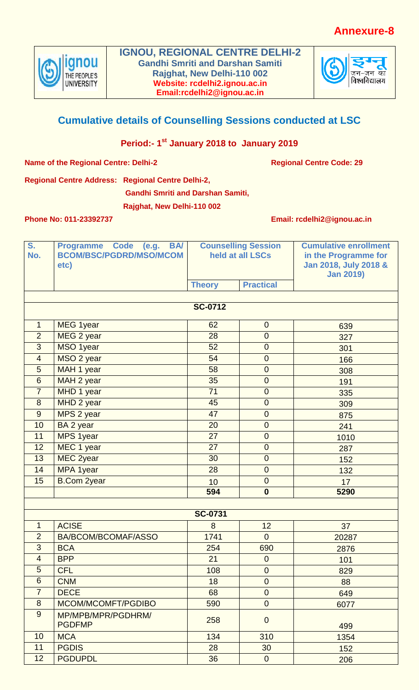## **Annexure-8**



**IGNOU, REGIONAL CENTRE DELHI-2 Gandhi Smriti and Darshan Samiti Rajghat, New Delhi-110 002 Website: rcdelhi2.ignou.ac.in Email:rcdelhi2@ignou.ac.in**



## **Cumulative details of Counselling Sessions conducted at LSC**

## **Period:- 1 st January 2018 to January 2019**

**Name of the Regional Centre: Delhi-2 Regional Centre Code: 29** 

**Regional Centre Address: Regional Centre Delhi-2,**

**Gandhi Smriti and Darshan Samiti,** 

**Rajghat, New Delhi-110 002**

**Phone No: 011-23392737 Email: rcdelhi2@ignou.ac.in**

| S.<br>No.        | Programme Code (e.g.<br><b>BA</b><br><b>BCOM/BSC/PGDRD/MSO/MCOM</b><br>etc) | <b>Counselling Session</b><br>held at all LSCs |                  | <b>Cumulative enrollment</b><br>in the Programme for<br>Jan 2018, July 2018 &<br><b>Jan 2019)</b> |  |  |
|------------------|-----------------------------------------------------------------------------|------------------------------------------------|------------------|---------------------------------------------------------------------------------------------------|--|--|
|                  |                                                                             | <b>Theory</b>                                  | <b>Practical</b> |                                                                                                   |  |  |
|                  |                                                                             | <b>SC-0712</b>                                 |                  |                                                                                                   |  |  |
|                  |                                                                             |                                                |                  |                                                                                                   |  |  |
| $\mathbf{1}$     | <b>MEG 1year</b>                                                            | 62                                             | $\mathbf 0$      | 639                                                                                               |  |  |
| $\overline{2}$   | MEG 2 year                                                                  | 28                                             | $\overline{0}$   | 327                                                                                               |  |  |
| 3                | MSO 1year                                                                   | 52                                             | $\mathbf 0$      | 301                                                                                               |  |  |
| $\overline{4}$   | MSO 2 year                                                                  | 54                                             | $\mathbf 0$      | 166                                                                                               |  |  |
| 5                | MAH 1 year                                                                  | 58                                             | $\mathbf 0$      | 308                                                                                               |  |  |
| 6                | MAH 2 year                                                                  | 35                                             | $\mathbf 0$      | 191                                                                                               |  |  |
| $\overline{7}$   | MHD 1 year                                                                  | 71                                             | $\mathbf 0$      | 335                                                                                               |  |  |
| $\boldsymbol{8}$ | MHD 2 year                                                                  | 45                                             | $\mathbf 0$      | 309                                                                                               |  |  |
| 9                | MPS 2 year                                                                  | 47                                             | $\mathbf 0$      | 875                                                                                               |  |  |
| 10               | BA 2 year                                                                   | 20                                             | $\mathbf 0$      | 241                                                                                               |  |  |
| 11               | MPS 1year                                                                   | 27                                             | $\boldsymbol{0}$ | 1010                                                                                              |  |  |
| 12               | MEC 1 year                                                                  | 27                                             | $\mathbf 0$      | 287                                                                                               |  |  |
| 13               | MEC 2year                                                                   | 30                                             | $\mathbf 0$      | 152                                                                                               |  |  |
| 14               | MPA 1year                                                                   | 28                                             | $\mathbf 0$      | 132                                                                                               |  |  |
| 15               | <b>B.Com 2year</b>                                                          | 10                                             | $\mathbf 0$      | 17                                                                                                |  |  |
|                  |                                                                             | 594                                            | $\boldsymbol{0}$ | 5290                                                                                              |  |  |
|                  |                                                                             |                                                |                  |                                                                                                   |  |  |
| <b>SC-0731</b>   |                                                                             |                                                |                  |                                                                                                   |  |  |
| $\mathbf{1}$     | <b>ACISE</b>                                                                | 8                                              | 12               | 37                                                                                                |  |  |
| $\overline{2}$   | BA/BCOM/BCOMAF/ASSO                                                         | 1741                                           | $\overline{0}$   | 20287                                                                                             |  |  |
| 3                | <b>BCA</b>                                                                  | 254                                            | 690              | 2876                                                                                              |  |  |
| $\overline{4}$   | <b>BPP</b>                                                                  | 21                                             | $\mathbf 0$      | 101                                                                                               |  |  |
| 5                | <b>CFL</b>                                                                  | 108                                            | $\overline{0}$   | 829                                                                                               |  |  |
| 6                | <b>CNM</b>                                                                  | 18                                             | $\mathbf 0$      | 88                                                                                                |  |  |
| $\overline{7}$   | <b>DECE</b>                                                                 | 68                                             | $\mathbf 0$      | 649                                                                                               |  |  |
| 8                | MCOM/MCOMFT/PGDIBO                                                          | 590                                            | $\mathbf 0$      | 6077                                                                                              |  |  |
| 9                | MP/MPB/MPR/PGDHRM/<br><b>PGDFMP</b>                                         | 258                                            | $\mathbf 0$      | 499                                                                                               |  |  |
| 10               | <b>MCA</b>                                                                  | 134                                            | 310              | 1354                                                                                              |  |  |
| 11               | <b>PGDIS</b>                                                                | 28                                             | 30               | 152                                                                                               |  |  |
| 12               | <b>PGDUPDL</b>                                                              | 36                                             | $\overline{0}$   | 206                                                                                               |  |  |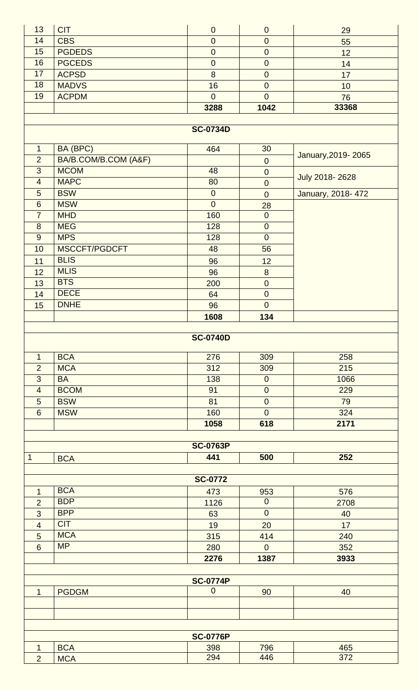| 13               | <b>CIT</b>           | $\pmb{0}$        | $\theta$         | 29                 |  |  |  |
|------------------|----------------------|------------------|------------------|--------------------|--|--|--|
| 14               | <b>CBS</b>           | $\boldsymbol{0}$ | $\mathbf 0$      | 55                 |  |  |  |
| 15               | <b>PGDEDS</b>        | $\pmb{0}$        | $\mathbf 0$      | 12                 |  |  |  |
| 16               | <b>PGCEDS</b>        | $\boldsymbol{0}$ | $\pmb{0}$        | 14                 |  |  |  |
| 17               | <b>ACPSD</b>         | 8                | $\overline{0}$   | 17                 |  |  |  |
| 18               | <b>MADVS</b>         | 16               | $\mathbf 0$      | 10                 |  |  |  |
| 19               | <b>ACPDM</b>         | $\overline{0}$   | $\overline{0}$   | 76                 |  |  |  |
|                  |                      | 3288             | 1042             | 33368              |  |  |  |
|                  | <b>SC-0734D</b>      |                  |                  |                    |  |  |  |
|                  |                      |                  |                  |                    |  |  |  |
| $\mathbf{1}$     | BA (BPC)             | 464              | 30               |                    |  |  |  |
| $\overline{2}$   | BA/B.COM/B.COM (A&F) |                  | $\boldsymbol{0}$ | January, 2019-2065 |  |  |  |
| $\overline{3}$   | <b>MCOM</b>          | 48               | $\boldsymbol{0}$ |                    |  |  |  |
| $\overline{4}$   | <b>MAPC</b>          | 80               | $\mathbf 0$      | July 2018-2628     |  |  |  |
| $\overline{5}$   | <b>BSW</b>           | $\pmb{0}$        | $\mathbf 0$      | January, 2018-472  |  |  |  |
| $\boldsymbol{6}$ | <b>MSW</b>           | $\overline{0}$   | 28               |                    |  |  |  |
| $\overline{7}$   | <b>MHD</b>           | 160              | $\mathbf 0$      |                    |  |  |  |
| 8                | <b>MEG</b>           | 128              | $\mathbf 0$      |                    |  |  |  |
| 9                | <b>MPS</b>           | 128              | $\mathbf 0$      |                    |  |  |  |
| 10               | MSCCFT/PGDCFT        | 48               | 56               |                    |  |  |  |
| 11               | <b>BLIS</b>          | 96               | 12               |                    |  |  |  |
| 12               | <b>MLIS</b>          | 96               | 8                |                    |  |  |  |
| 13               | <b>BTS</b>           | 200              | $\boldsymbol{0}$ |                    |  |  |  |
| 14               | <b>DECE</b>          | 64               | $\pmb{0}$        |                    |  |  |  |
| 15               | <b>DNHE</b>          | 96               | $\overline{0}$   |                    |  |  |  |
|                  |                      | 1608             | 134              |                    |  |  |  |
|                  |                      |                  |                  |                    |  |  |  |
|                  |                      | <b>SC-0740D</b>  |                  |                    |  |  |  |
| $\mathbf{1}$     | <b>BCA</b>           | 276              | 309              | 258                |  |  |  |
| $\overline{2}$   | <b>MCA</b>           | 312              | 309              | 215                |  |  |  |
| $\overline{3}$   | <b>BA</b>            | 138              | $\boldsymbol{0}$ | 1066               |  |  |  |
| $\overline{4}$   | <b>BCOM</b>          | 91               | $\mathbf 0$      | 229                |  |  |  |
| $\overline{5}$   | <b>BSW</b>           | 81               | $\mathbf 0$      | 79                 |  |  |  |
| $6\phantom{1}$   | <b>MSW</b>           | 160              | $\overline{0}$   | 324                |  |  |  |
|                  |                      | 1058             | 618              | 2171               |  |  |  |
| <b>SC-0763P</b>  |                      |                  |                  |                    |  |  |  |
| $\mathbf 1$      | <b>BCA</b>           | 441              | 500              | 252                |  |  |  |
|                  |                      |                  |                  |                    |  |  |  |
| <b>SC-0772</b>   |                      |                  |                  |                    |  |  |  |
| 1                | <b>BCA</b>           | 473              | 953              | 576                |  |  |  |
| $\overline{2}$   | <b>BDP</b>           | 1126             | $\mathbf 0$      | 2708               |  |  |  |
| 3                | <b>BPP</b>           | 63               | $\overline{0}$   | 40                 |  |  |  |
| $\overline{4}$   | <b>CIT</b>           | 19               | 20               | 17                 |  |  |  |
| 5                | <b>MCA</b>           | 315              | 414              | 240                |  |  |  |
| $6\phantom{1}$   | <b>MP</b>            | 280              | $\overline{0}$   | 352                |  |  |  |
|                  |                      | 2276             | 1387             | 3933               |  |  |  |
|                  |                      |                  |                  |                    |  |  |  |
|                  |                      | <b>SC-0774P</b>  |                  |                    |  |  |  |
| $\mathbf{1}$     | <b>PGDGM</b>         | $\mathbf 0$      | 90               | 40                 |  |  |  |
|                  |                      |                  |                  |                    |  |  |  |
|                  |                      |                  |                  |                    |  |  |  |
|                  |                      |                  |                  |                    |  |  |  |
|                  | <b>SC-0776P</b>      |                  |                  |                    |  |  |  |
| 1                | <b>BCA</b>           | 398              | 796              | 465                |  |  |  |
| $\overline{2}$   | <b>MCA</b>           | 294              | 446              | 372                |  |  |  |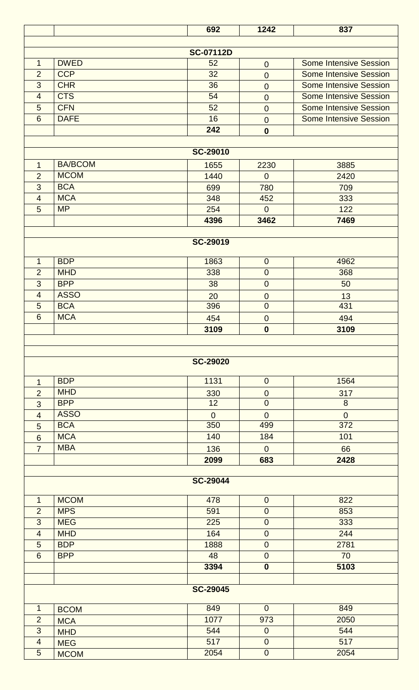|                                                                                        |                | 692             | 1242                    | 837                           |  |  |  |
|----------------------------------------------------------------------------------------|----------------|-----------------|-------------------------|-------------------------------|--|--|--|
|                                                                                        |                |                 |                         |                               |  |  |  |
| <b>SC-07112D</b><br><b>DWED</b><br>$\mathbf{1}$<br>52<br><b>Some Intensive Session</b> |                |                 |                         |                               |  |  |  |
| $\overline{2}$                                                                         | <b>CCP</b>     | 32              | $\theta$<br>$\mathbf 0$ | <b>Some Intensive Session</b> |  |  |  |
| 3                                                                                      | <b>CHR</b>     | 36              | $\mathbf 0$             | <b>Some Intensive Session</b> |  |  |  |
| $\overline{4}$                                                                         | <b>CTS</b>     | 54              | $\mathbf 0$             | <b>Some Intensive Session</b> |  |  |  |
| 5                                                                                      | <b>CFN</b>     | 52              | $\overline{0}$          | <b>Some Intensive Session</b> |  |  |  |
| $6\phantom{1}6$                                                                        | <b>DAFE</b>    | 16              | $\mathbf 0$             | <b>Some Intensive Session</b> |  |  |  |
|                                                                                        |                | 242             | $\boldsymbol{0}$        |                               |  |  |  |
|                                                                                        |                |                 |                         |                               |  |  |  |
|                                                                                        |                | <b>SC-29010</b> |                         |                               |  |  |  |
| $\mathbf{1}$                                                                           | <b>BA/BCOM</b> | 1655            | 2230                    | 3885                          |  |  |  |
| $\overline{2}$                                                                         | <b>MCOM</b>    | 1440            | $\overline{0}$          | 2420                          |  |  |  |
| 3                                                                                      | <b>BCA</b>     | 699             | 780                     | 709                           |  |  |  |
| $\overline{4}$                                                                         | <b>MCA</b>     | 348             | 452                     | 333                           |  |  |  |
| 5                                                                                      | <b>MP</b>      | 254             | $\overline{0}$          | 122                           |  |  |  |
|                                                                                        |                | 4396            | 3462                    | 7469                          |  |  |  |
|                                                                                        |                | <b>SC-29019</b> |                         |                               |  |  |  |
|                                                                                        |                |                 |                         |                               |  |  |  |
| $\mathbf{1}$                                                                           | <b>BDP</b>     | 1863            | $\mathbf 0$             | 4962                          |  |  |  |
| $\overline{2}$                                                                         | <b>MHD</b>     | 338             | $\mathbf 0$             | 368                           |  |  |  |
| 3                                                                                      | <b>BPP</b>     | 38              | $\mathbf 0$             | 50                            |  |  |  |
| $\overline{4}$                                                                         | <b>ASSO</b>    | 20              | $\mathbf 0$             | 13                            |  |  |  |
| 5                                                                                      | <b>BCA</b>     | 396             | $\mathbf 0$             | 431                           |  |  |  |
| $6\phantom{1}6$                                                                        | <b>MCA</b>     | 454             | $\mathbf 0$             | 494                           |  |  |  |
|                                                                                        |                | 3109            | $\boldsymbol{0}$        | 3109                          |  |  |  |
|                                                                                        |                |                 |                         |                               |  |  |  |
|                                                                                        |                |                 |                         |                               |  |  |  |
|                                                                                        |                | <b>SC-29020</b> |                         |                               |  |  |  |
| $\mathbf{1}$                                                                           | <b>BDP</b>     | 1131            | $\mathbf 0$             | 1564                          |  |  |  |
| $\overline{2}$                                                                         | <b>MHD</b>     | 330             | $\boldsymbol{0}$        | 317                           |  |  |  |
| 3                                                                                      | <b>BPP</b>     | 12              | $\mathbf 0$             | 8                             |  |  |  |
| $\overline{4}$                                                                         | <b>ASSO</b>    | $\overline{0}$  | $\overline{0}$          | $\overline{0}$                |  |  |  |
| 5                                                                                      | <b>BCA</b>     | 350             | 499                     | 372                           |  |  |  |
| $6\phantom{1}6$                                                                        | <b>MCA</b>     | 140             | 184                     | 101                           |  |  |  |
| $\overline{7}$                                                                         | <b>MBA</b>     | 136             | $\mathbf{0}$            | 66                            |  |  |  |
|                                                                                        |                | 2099            | 683                     | 2428                          |  |  |  |
|                                                                                        |                | <b>SC-29044</b> |                         |                               |  |  |  |
|                                                                                        |                |                 |                         |                               |  |  |  |
| $\mathbf 1$                                                                            | <b>MCOM</b>    | 478             | $\theta$                | 822                           |  |  |  |
| $\overline{2}$                                                                         | <b>MPS</b>     | 591             | $\boldsymbol{0}$        | 853                           |  |  |  |
| 3                                                                                      | <b>MEG</b>     | 225             | $\mathbf 0$             | 333                           |  |  |  |
| $\overline{4}$                                                                         | <b>MHD</b>     | 164             | $\mathbf 0$             | 244                           |  |  |  |
| 5                                                                                      | <b>BDP</b>     | 1888            | $\mathbf 0$             | 2781                          |  |  |  |
| $6\phantom{1}6$                                                                        | <b>BPP</b>     | 48              | $\boldsymbol{0}$        | 70                            |  |  |  |
|                                                                                        |                | 3394            | $\boldsymbol{0}$        | 5103                          |  |  |  |
|                                                                                        |                | <b>SC-29045</b> |                         |                               |  |  |  |
|                                                                                        |                |                 |                         |                               |  |  |  |
| $\mathbf 1$                                                                            | <b>BCOM</b>    | 849             | $\mathbf{0}$            | 849                           |  |  |  |
| $\overline{2}$                                                                         | <b>MCA</b>     | 1077            | 973                     | 2050                          |  |  |  |
| 3                                                                                      | <b>MHD</b>     | 544             | $\boldsymbol{0}$        | 544                           |  |  |  |
| $\overline{4}$                                                                         | <b>MEG</b>     | 517             | ${\bf 0}$               | 517                           |  |  |  |
| $\overline{5}$                                                                         | <b>MCOM</b>    | 2054            | $\pmb{0}$               | 2054                          |  |  |  |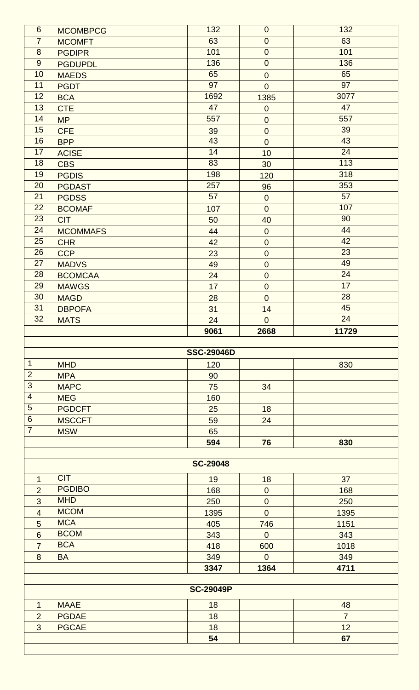| $6\phantom{1}$  | <b>MCOMBPCG</b> | 132               | $\theta$          | 132            |
|-----------------|-----------------|-------------------|-------------------|----------------|
| $\overline{7}$  | <b>MCOMFT</b>   | 63                | $\mathbf 0$       | 63             |
| 8               | <b>PGDIPR</b>   | 101               | $\mathbf 0$       | 101            |
| 9               | <b>PGDUPDL</b>  | 136               | $\mathbf 0$       | 136            |
| 10              | <b>MAEDS</b>    | 65                | $\mathbf 0$       | 65             |
| 11              | <b>PGDT</b>     | 97                | $\overline{0}$    | 97             |
| 12              | <b>BCA</b>      | 1692              | 1385              | 3077           |
| 13              | <b>CTE</b>      | 47                | $\theta$          | 47             |
| 14              | <b>MP</b>       | 557               | $\mathbf 0$       | 557            |
| 15              | <b>CFE</b>      | 39                | $\boldsymbol{0}$  | 39             |
| 16              | <b>BPP</b>      | 43                | $\overline{0}$    | 43             |
| 17              | <b>ACISE</b>    | 14                | 10                | 24             |
| 18              | <b>CBS</b>      | 83                | 30                | 113            |
| 19              | <b>PGDIS</b>    | 198               | 120               | 318            |
| 20              | <b>PGDAST</b>   | 257               | 96                | 353            |
| 21              | <b>PGDSS</b>    | 57                | $\pmb{0}$         | 57             |
| 22              | <b>BCOMAF</b>   | 107               | $\overline{0}$    | 107            |
| 23              | <b>CIT</b>      | 50                | 40                | 90             |
| 24              | <b>MCOMMAFS</b> | 44                | $\boldsymbol{0}$  | 44             |
| 25              | <b>CHR</b>      | 42                | $\mathbf 0$       | 42             |
| 26              | <b>CCP</b>      | 23                | $\mathbf 0$       | 23             |
| 27              | <b>MADVS</b>    | 49                | $\mathbf 0$       | 49             |
| 28              | <b>BCOMCAA</b>  | 24                | $\boldsymbol{0}$  | 24             |
| 29              | <b>MAWGS</b>    | 17                | $\mathbf 0$       | 17             |
| 30              | <b>MAGD</b>     | 28                | $\mathbf 0$       | 28             |
| 31              |                 |                   |                   | 45             |
| 32              | <b>DBPOFA</b>   | 31                | 14<br>$\mathbf 0$ | 24             |
|                 | <b>MATS</b>     | 24                |                   |                |
|                 |                 | 9061              | 2668              | 11729          |
|                 |                 |                   |                   |                |
|                 |                 | <b>SSC-29046D</b> |                   |                |
| $\mathbf 1$     |                 |                   |                   |                |
|                 | <b>MHD</b>      | 120               |                   | 830            |
| $\overline{2}$  | <b>MPA</b>      | 90                |                   |                |
| 3               | <b>MAPC</b>     | 75                | 34                |                |
| $\overline{4}$  | <b>MEG</b>      | 160               |                   |                |
| $\overline{5}$  | <b>PGDCFT</b>   | 25                | 18                |                |
| $\,$ 6 $\,$     | <b>MSCCFT</b>   | 59                | 24                |                |
| $\overline{7}$  | <b>MSW</b>      | 65                |                   |                |
|                 |                 | 594               | 76                | 830            |
|                 |                 | <b>SC-29048</b>   |                   |                |
|                 |                 |                   |                   |                |
| $\mathbf{1}$    | <b>CIT</b>      | 19                | 18                | 37             |
| $\overline{2}$  | <b>PGDIBO</b>   | 168               | $\mathbf 0$       | 168            |
| 3               | <b>MHD</b>      | 250               | $\mathbf 0$       | 250            |
| $\overline{4}$  | <b>MCOM</b>     | 1395              | $\overline{0}$    | 1395           |
| 5               | <b>MCA</b>      | 405               | 746               | 1151           |
| $6\phantom{1}6$ | <b>BCOM</b>     | 343               | $\overline{0}$    | 343            |
| $\overline{7}$  | <b>BCA</b>      | 418               | 600               | 1018           |
| 8               | <b>BA</b>       | 349               | $\overline{0}$    | 349            |
|                 |                 | 3347              | 1364              | 4711           |
|                 |                 |                   |                   |                |
|                 |                 | <b>SC-29049P</b>  |                   |                |
| $\mathbf{1}$    | <b>MAAE</b>     | 18                |                   | 48             |
| $\overline{2}$  | <b>PGDAE</b>    | 18                |                   | $\overline{7}$ |
| $\overline{3}$  | <b>PGCAE</b>    | 18                |                   | 12             |
|                 |                 | 54                |                   | 67             |